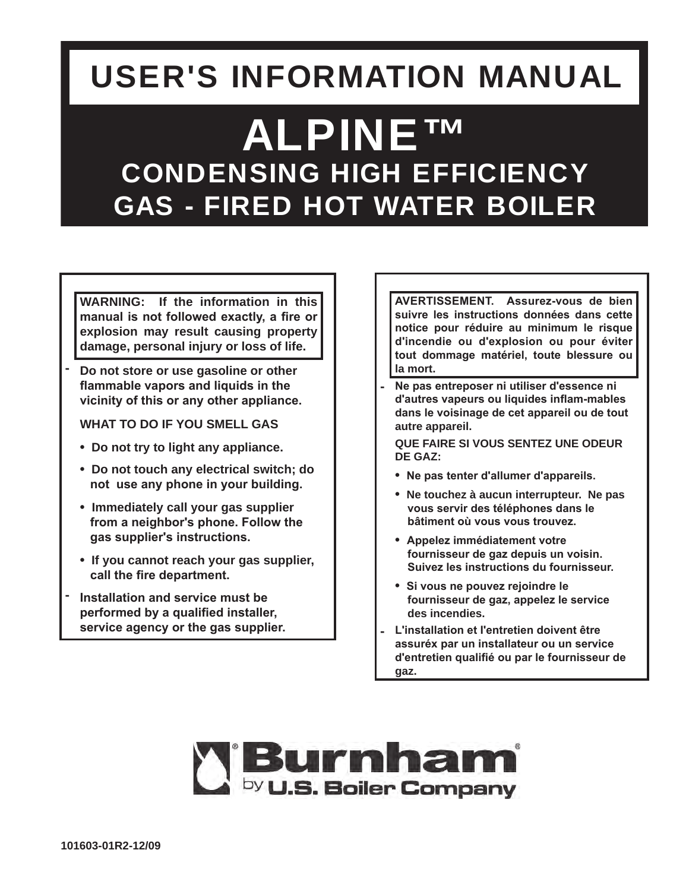# **USER'S INFORMATION MANUAL**

# **ALPINETM CONDENSING HIGH EFFICIENCY GAS - FIRED HOT WATER BOILER**

**WARNING: If the information in this manual is not followed exactly, a fire or explosion may result causing property damage, personal injury or loss of life.**

**- Do not store or use gasoline or other flammable vapors and liquids in the vicinity of this or any other appliance.**

**WHAT TO DO IF YOU SMELL GAS**

- **Do not try to light any appliance.**
- **Do not touch any electrical switch; do not use any phone in your building.**
- **Immediately call your gas supplier from a neighbor's phone. Follow the gas supplier's instructions.**
- **If you cannot reach your gas supplier, call the fire department.**
- **- Installation and service must be performed by a qualified installer, service agency or the gas supplier.**

**AVERTISSEMENT. Assurez-vous de bien suivre les instructions données dans cette notice pour réduire au minimum le risque d'incendie ou d'explosion ou pour éviter tout dommage matériel, toute blessure ou la mort.**

**- Ne pas entreposer ni utiliser d'essence ni d'autres vapeurs ou liquides inflam-mables dans le voisinage de cet appareil ou de tout autre appareil.**

**QUE FAIRE SI VOUS SENTEZ UNE ODEUR DE GAZ:**

- **Ne pas tenter d'allumer d'appareils.**
- **Ne touchez à aucun interrupteur. Ne pas vous servir des téléphones dans le bâtiment où vous vous trouvez.**
- **Appelez immédiatement votre fournisseur de gaz depuis un voisin. Suivez les instructions du fournisseur.**
- **Si vous ne pouvez rejoindre le fournisseur de gaz, appelez le service des incendies.**
- **- L'installation et I'entretien doivent être assuréx par un installateur ou un service d'entretien qualifié ou par le fournisseur de gaz.**

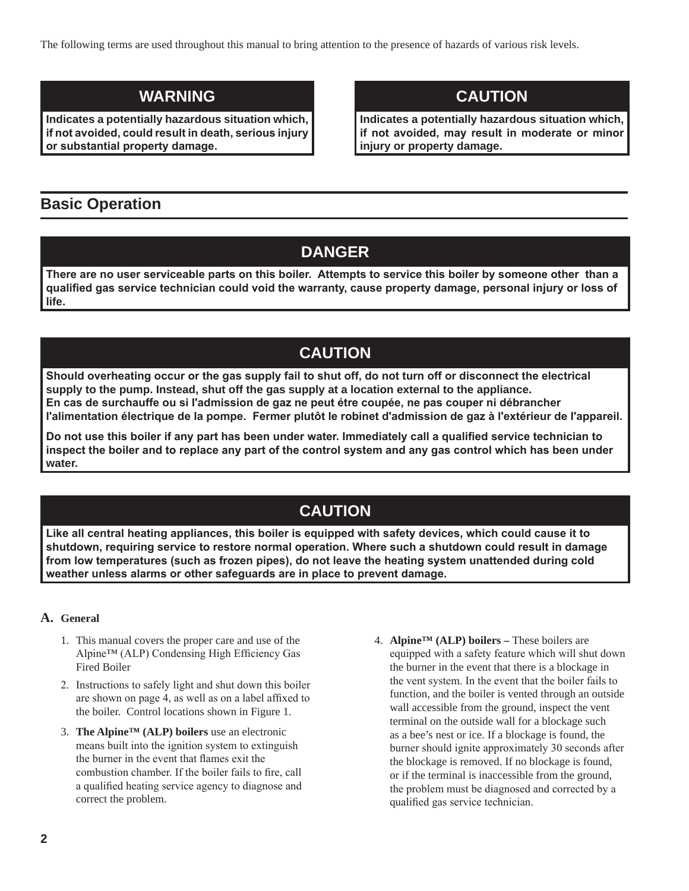The following terms are used throughout this manual to bring attention to the presence of hazards of various risk levels.

## **WARNING**

**Indicates a potentially hazardous situation which, if not avoided, could result in death, serious injury or substantial property damage.**

## **CAUTION**

**Indicates a potentially hazardous situation which, if not avoided, may result in moderate or minor injury or property damage.**

## **Basic Operation**

# **DANGER**

**There are no user serviceable parts on this boiler. Attempts to service this boiler by someone other than a qualified gas service technician could void the warranty, cause property damage, personal injury or loss of life.**

# **CAUTION**

**Should overheating occur or the gas supply fail to shut off, do not turn off or disconnect the electrical supply to the pump. Instead, shut off the gas supply at a location external to the appliance. En cas de surchauffe ou si I'admission de gaz ne peut étre coupée, ne pas couper ni débrancher l'alimentation électrique de la pompe. Fermer plutôt le robinet d'admission de gaz à l'extérieur de I'appareil.**

**Do not use this boiler if any part has been under water. Immediately call a qualified service technician to inspect the boiler and to replace any part of the control system and any gas control which has been under water.**

# **CAUTION**

**Like all central heating appliances, this boiler is equipped with safety devices, which could cause it to shutdown, requiring service to restore normal operation. Where such a shutdown could result in damage from low temperatures (such as frozen pipes), do not leave the heating system unattended during cold weather unless alarms or other safeguards are in place to prevent damage.** 

#### **A. General**

- 1. This manual covers the proper care and use of the Alpine™ (ALP) Condensing High Efficiency Gas Fired Boiler
- 2. Instructions to safely light and shut down this boiler are shown on page 4, as well as on a label affixed to the boiler. Control locations shown in Figure 1.
- 3. **The Alpine™ (ALP) boilers** use an electronic means built into the ignition system to extinguish the burner in the event that flames exit the combustion chamber. If the boiler fails to fire, call a qualified heating service agency to diagnose and correct the problem.
- 4. **Alpine™ (ALP) boilers –** These boilers are equipped with a safety feature which will shut down the burner in the event that there is a blockage in the vent system. In the event that the boiler fails to function, and the boiler is vented through an outside wall accessible from the ground, inspect the vent terminal on the outside wall for a blockage such as a bee's nest or ice. If a blockage is found, the burner should ignite approximately 30 seconds after the blockage is removed. If no blockage is found, or if the terminal is inaccessible from the ground, the problem must be diagnosed and corrected by a qualified gas service technician.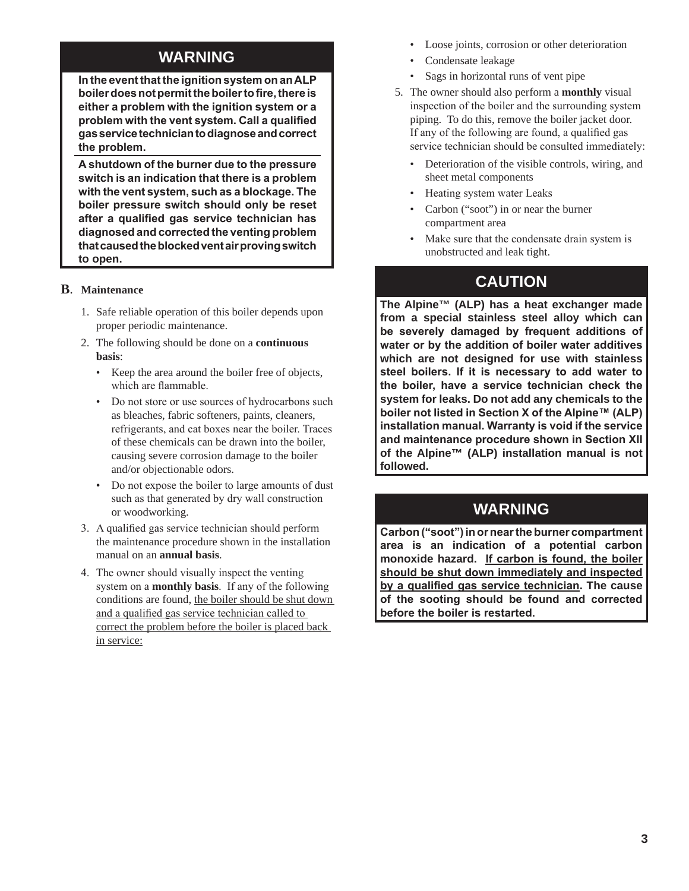## **WARNING**

**In the event that the ignition system on an ALP boiler does not permit the boiler to fire, there is either a problem with the ignition system or a problem with the vent system. Call a qualified gas service technician to diagnose and correct the problem.**

**A shutdown of the burner due to the pressure switch is an indication that there is a problem with the vent system, such as a blockage. The boiler pressure switch should only be reset after a qualified gas service technician has diagnosed and corrected the venting problem that caused the blocked vent air proving switch to open.** 

#### **B**. **Maintenance**

- 1. Safe reliable operation of this boiler depends upon proper periodic maintenance.
- 2. The following should be done on a **continuous basis**:
	- Keep the area around the boiler free of objects, which are flammable.
	- Do not store or use sources of hydrocarbons such as bleaches, fabric softeners, paints, cleaners, refrigerants, and cat boxes near the boiler. Traces of these chemicals can be drawn into the boiler, causing severe corrosion damage to the boiler and/or objectionable odors.
	- Do not expose the boiler to large amounts of dust such as that generated by dry wall construction or woodworking.
- 3. A qualified gas service technician should perform the maintenance procedure shown in the installation manual on an **annual basis**.
- 4. The owner should visually inspect the venting system on a **monthly basis**. If any of the following conditions are found, the boiler should be shut down and a qualified gas service technician called to correct the problem before the boiler is placed back in service:
- Loose joints, corrosion or other deterioration
- Condensate leakage
- Sags in horizontal runs of vent pipe
- 5. The owner should also perform a **monthly** visual inspection of the boiler and the surrounding system piping. To do this, remove the boiler jacket door. If any of the following are found, a qualified gas service technician should be consulted immediately:
	- Deterioration of the visible controls, wiring, and sheet metal components
	- Heating system water Leaks
	- Carbon ("soot") in or near the burner compartment area
	- Make sure that the condensate drain system is unobstructed and leak tight.

## **CAUTION**

**The Alpine™ (ALP) has a heat exchanger made from a special stainless steel alloy which can be severely damaged by frequent additions of water or by the addition of boiler water additives which are not designed for use with stainless steel boilers. If it is necessary to add water to the boiler, have a service technician check the system for leaks. Do not add any chemicals to the boiler not listed in Section X of the Alpine™ (ALP) installation manual. Warranty is void if the service and maintenance procedure shown in Section XII of the Alpine™ (ALP) installation manual is not followed.** 

## **WARNING**

**Carbon ("soot") in or near the burner compartment area is an indication of a potential carbon monoxide hazard. If carbon is found, the boiler should be shut down immediately and inspected by a qualified gas service technician. The cause of the sooting should be found and corrected before the boiler is restarted.**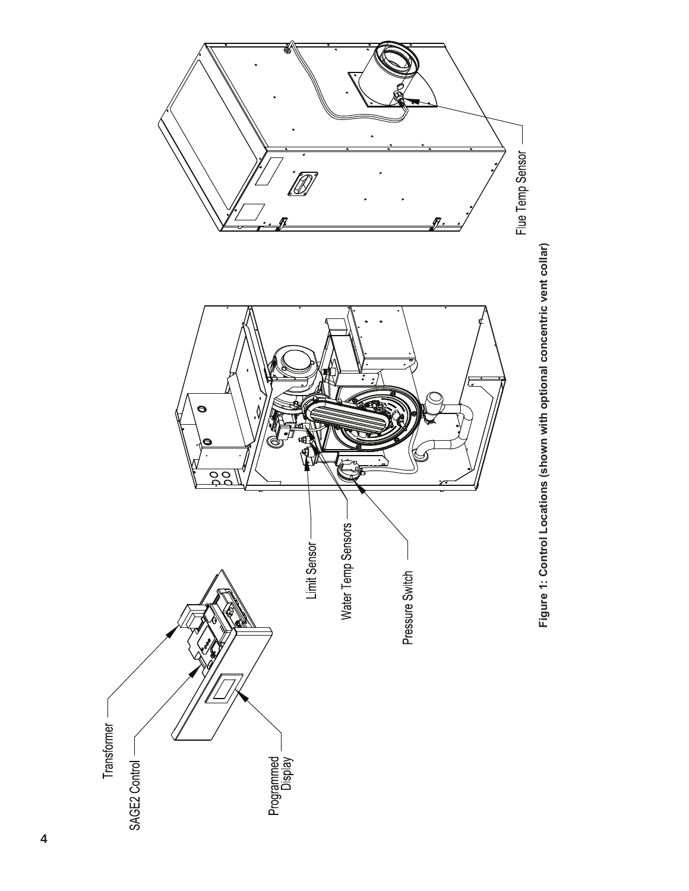

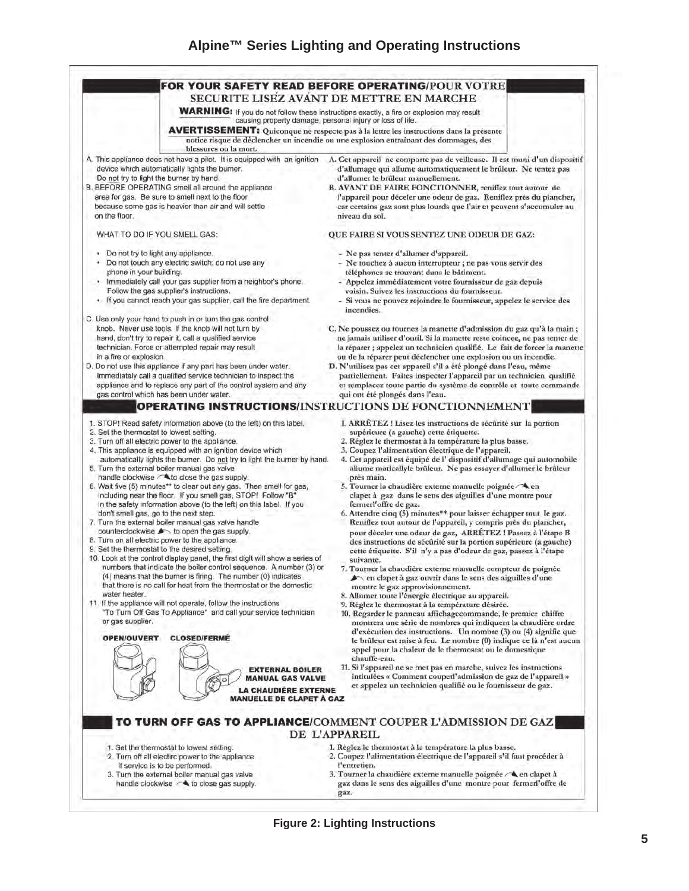#### **Alpine™ Series Lighting and Operating Instructions**



**Figure 2: Lighting Instructions**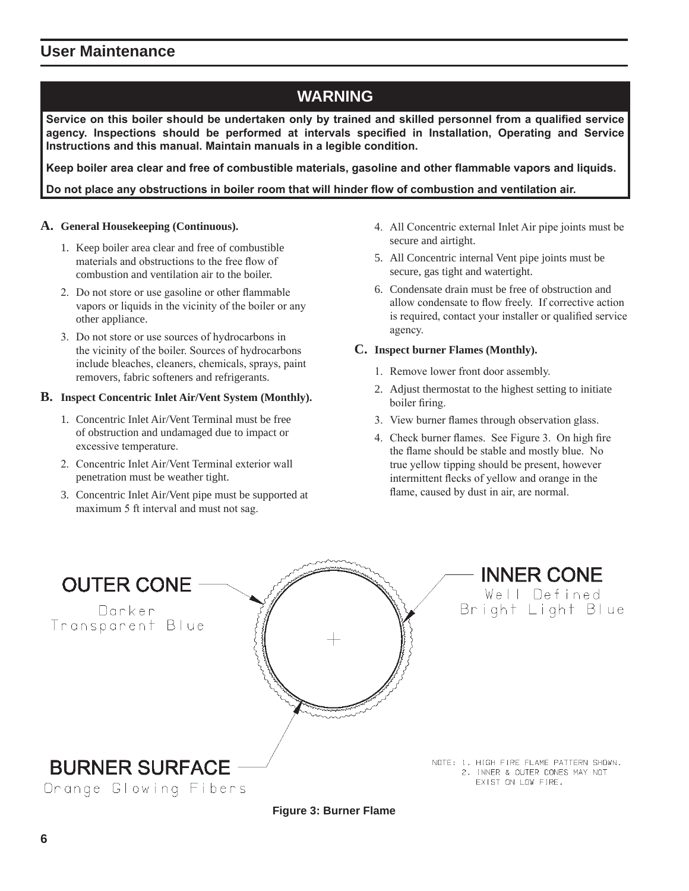# **WARNING**

**Service on this boiler should be undertaken only by trained and skilled personnel from a qualified service agency. Inspections should be performed at intervals specified in Installation, Operating and Service Instructions and this manual. Maintain manuals in a legible condition.**

**Keep boiler area clear and free of combustible materials, gasoline and other flammable vapors and liquids.**

**Do not place any obstructions in boiler room that will hinder flow of combustion and ventilation air.**

#### **A. General Housekeeping (Continuous).**

- 1. Keep boiler area clear and free of combustible materials and obstructions to the free flow of combustion and ventilation air to the boiler.
- 2. Do not store or use gasoline or other flammable vapors or liquids in the vicinity of the boiler or any other appliance.
- 3. Do not store or use sources of hydrocarbons in the vicinity of the boiler. Sources of hydrocarbons include bleaches, cleaners, chemicals, sprays, paint removers, fabric softeners and refrigerants.

#### **B. Inspect Concentric Inlet Air/Vent System (Monthly).**

- 1. Concentric Inlet Air/Vent Terminal must be free of obstruction and undamaged due to impact or excessive temperature.
- 2. Concentric Inlet Air/Vent Terminal exterior wall penetration must be weather tight.
- 3. Concentric Inlet Air/Vent pipe must be supported at maximum 5 ft interval and must not sag.
- 4. All Concentric external Inlet Air pipe joints must be secure and airtight.
- 5. All Concentric internal Vent pipe joints must be secure, gas tight and watertight.
- 6. Condensate drain must be free of obstruction and allow condensate to flow freely. If corrective action is required, contact your installer or qualified service agency.

#### **C. Inspect burner Flames (Monthly).**

- 1. Remove lower front door assembly.
- 2. Adjust thermostat to the highest setting to initiate boiler firing.
- 3. View burner flames through observation glass.
- 4. Check burner flames. See Figure 3. On high fire the flame should be stable and mostly blue. No true yellow tipping should be present, however intermittent flecks of yellow and orange in the flame, caused by dust in air, are normal.



**Figure 3: Burner Flame**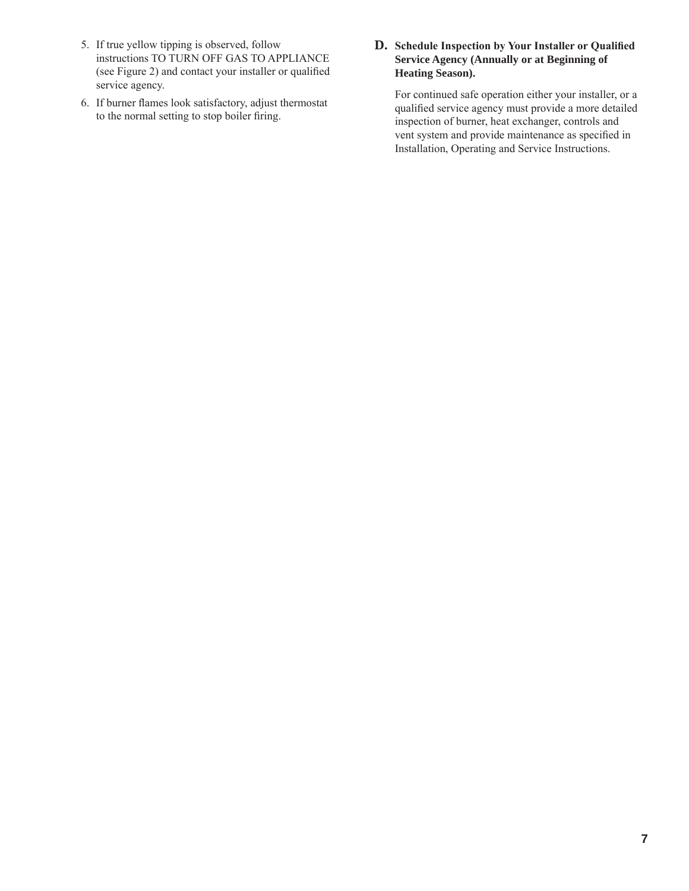- 5. If true yellow tipping is observed, follow instructions TO TURN OFF GAS TO APPLIANCE (see Figure 2) and contact your installer or qualified service agency.
- 6. If burner flames look satisfactory, adjust thermostat to the normal setting to stop boiler firing.

#### **D. Schedule Inspection by Your Installer or Qualified Service Agency (Annually or at Beginning of Heating Season).**

For continued safe operation either your installer, or a qualified service agency must provide a more detailed inspection of burner, heat exchanger, controls and vent system and provide maintenance as specified in Installation, Operating and Service Instructions.